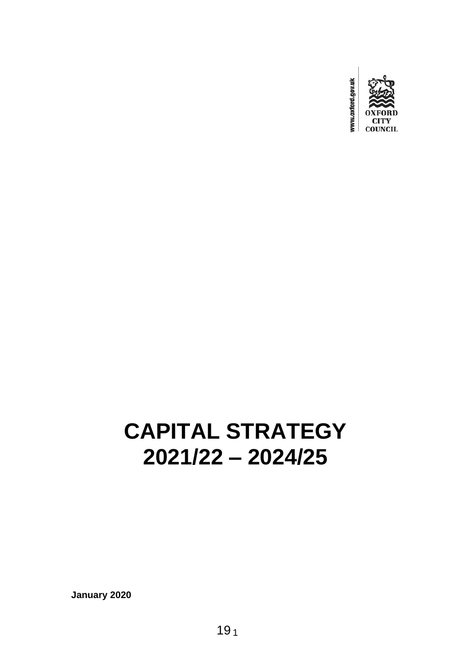

# **CAPITAL STRATEGY 2021/22 – 2024/25**

**January 2020**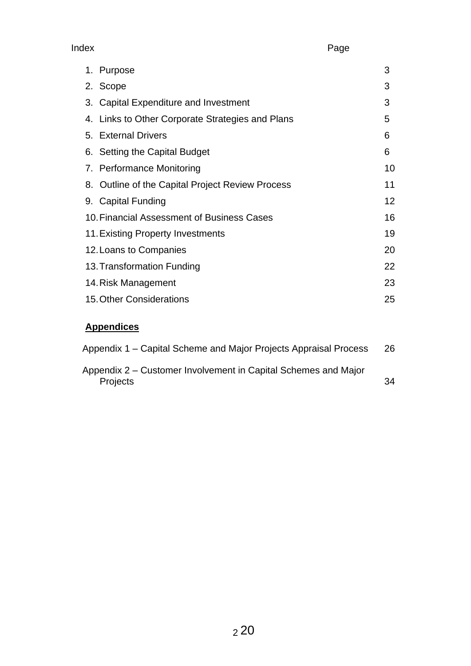|                                   | 1. Purpose                                       | 3  |  |
|-----------------------------------|--------------------------------------------------|----|--|
|                                   | 2. Scope                                         | 3  |  |
|                                   | 3. Capital Expenditure and Investment            | 3  |  |
|                                   | 4. Links to Other Corporate Strategies and Plans | 5  |  |
|                                   | 5. External Drivers                              | 6  |  |
|                                   | 6. Setting the Capital Budget                    | 6  |  |
|                                   | 7. Performance Monitoring                        | 10 |  |
|                                   | 8. Outline of the Capital Project Review Process | 11 |  |
|                                   | 9. Capital Funding                               | 12 |  |
|                                   | 10. Financial Assessment of Business Cases       | 16 |  |
| 11. Existing Property Investments |                                                  | 19 |  |
| 12. Loans to Companies            |                                                  | 20 |  |
| 22<br>13. Transformation Funding  |                                                  |    |  |
|                                   | 23<br>14. Risk Management                        |    |  |
|                                   | 15. Other Considerations<br>25                   |    |  |

## **Appendices**

| Appendix 1 – Capital Scheme and Major Projects Appraisal Process                  | 26 |
|-----------------------------------------------------------------------------------|----|
| Appendix 2 – Customer Involvement in Capital Schemes and Major<br><b>Projects</b> | 34 |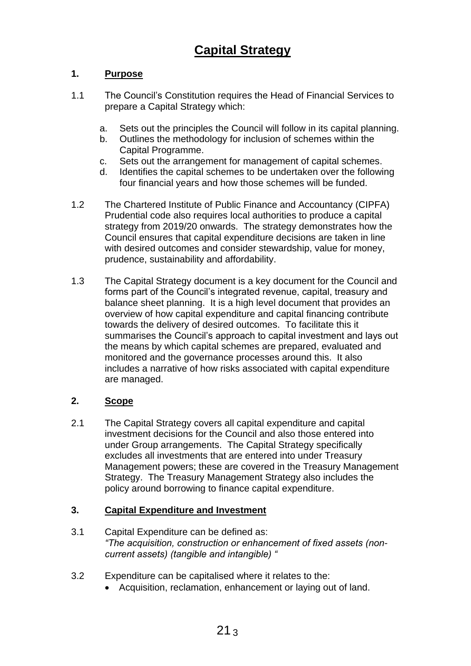## **1. Purpose**

- 1.1 The Council's Constitution requires the Head of Financial Services to prepare a Capital Strategy which:
	- a. Sets out the principles the Council will follow in its capital planning.
	- b. Outlines the methodology for inclusion of schemes within the Capital Programme.
	- c. Sets out the arrangement for management of capital schemes.
	- d. Identifies the capital schemes to be undertaken over the following four financial years and how those schemes will be funded.
- 1.2 The Chartered Institute of Public Finance and Accountancy (CIPFA) Prudential code also requires local authorities to produce a capital strategy from 2019/20 onwards. The strategy demonstrates how the Council ensures that capital expenditure decisions are taken in line with desired outcomes and consider stewardship, value for money, prudence, sustainability and affordability.
- 1.3 The Capital Strategy document is a key document for the Council and forms part of the Council's integrated revenue, capital, treasury and balance sheet planning. It is a high level document that provides an overview of how capital expenditure and capital financing contribute towards the delivery of desired outcomes. To facilitate this it summarises the Council's approach to capital investment and lays out the means by which capital schemes are prepared, evaluated and monitored and the governance processes around this. It also includes a narrative of how risks associated with capital expenditure are managed.

## **2. Scope**

2.1 The Capital Strategy covers all capital expenditure and capital investment decisions for the Council and also those entered into under Group arrangements. The Capital Strategy specifically excludes all investments that are entered into under Treasury Management powers; these are covered in the Treasury Management Strategy. The Treasury Management Strategy also includes the policy around borrowing to finance capital expenditure.

## **3. Capital Expenditure and Investment**

- 3.1 Capital Expenditure can be defined as: *"The acquisition, construction or enhancement of fixed assets (noncurrent assets) (tangible and intangible) "*
- 3.2 Expenditure can be capitalised where it relates to the:
	- Acquisition, reclamation, enhancement or laying out of land.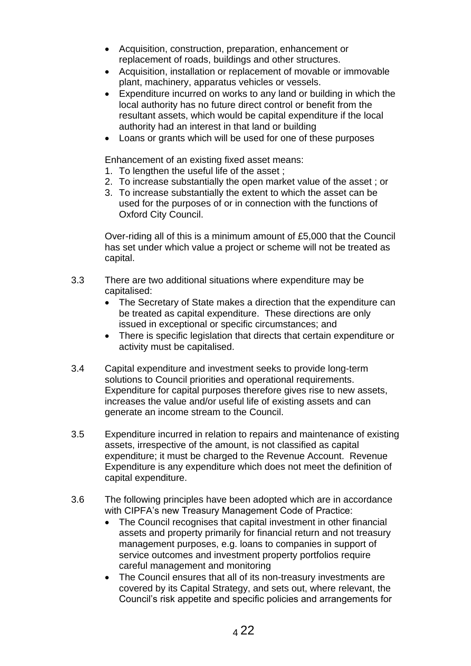- Acquisition, construction, preparation, enhancement or replacement of roads, buildings and other structures.
- Acquisition, installation or replacement of movable or immovable plant, machinery, apparatus vehicles or vessels.
- Expenditure incurred on works to any land or building in which the local authority has no future direct control or benefit from the resultant assets, which would be capital expenditure if the local authority had an interest in that land or building
- Loans or grants which will be used for one of these purposes

Enhancement of an existing fixed asset means:

- 1. To lengthen the useful life of the asset ;
- 2. To increase substantially the open market value of the asset ; or
- 3. To increase substantially the extent to which the asset can be used for the purposes of or in connection with the functions of Oxford City Council.

Over-riding all of this is a minimum amount of £5,000 that the Council has set under which value a project or scheme will not be treated as capital.

- 3.3 There are two additional situations where expenditure may be capitalised:
	- The Secretary of State makes a direction that the expenditure can be treated as capital expenditure. These directions are only issued in exceptional or specific circumstances; and
	- There is specific legislation that directs that certain expenditure or activity must be capitalised.
- 3.4 Capital expenditure and investment seeks to provide long-term solutions to Council priorities and operational requirements. Expenditure for capital purposes therefore gives rise to new assets, increases the value and/or useful life of existing assets and can generate an income stream to the Council.
- 3.5 Expenditure incurred in relation to repairs and maintenance of existing assets, irrespective of the amount, is not classified as capital expenditure; it must be charged to the Revenue Account. Revenue Expenditure is any expenditure which does not meet the definition of capital expenditure.
- 3.6 The following principles have been adopted which are in accordance with CIPFA's new Treasury Management Code of Practice:
	- The Council recognises that capital investment in other financial assets and property primarily for financial return and not treasury management purposes, e.g. loans to companies in support of service outcomes and investment property portfolios require careful management and monitoring
	- The Council ensures that all of its non-treasury investments are covered by its Capital Strategy, and sets out, where relevant, the Council's risk appetite and specific policies and arrangements for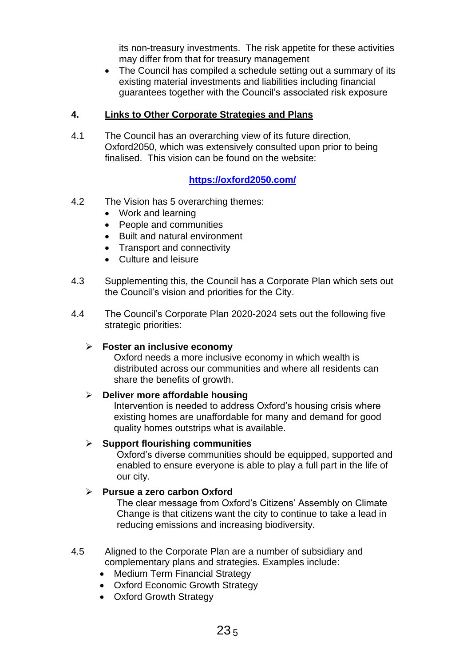its non-treasury investments. The risk appetite for these activities may differ from that for treasury management

• The Council has compiled a schedule setting out a summary of its existing material investments and liabilities including financial guarantees together with the Council's associated risk exposure

## **4. Links to Other Corporate Strategies and Plans**

4.1 The Council has an overarching view of its future direction, Oxford2050, which was extensively consulted upon prior to being finalised. This vision can be found on the website:

## **<https://oxford2050.com/>**

- 4.2 The Vision has 5 overarching themes:
	- Work and learning
	- People and communities
	- Built and natural environment
	- Transport and connectivity
	- Culture and leisure
- 4.3 Supplementing this, the Council has a Corporate Plan which sets out the Council's vision and priorities for the City.
- 4.4 The Council's Corporate Plan 2020-2024 sets out the following five strategic priorities:

#### **Foster an inclusive economy**

Oxford needs a more inclusive economy in which wealth is distributed across our communities and where all residents can share the benefits of growth.

#### **Deliver more affordable housing**

Intervention is needed to address Oxford's housing crisis where existing homes are unaffordable for many and demand for good quality homes outstrips what is available.

#### **Support flourishing communities**

Oxford's diverse communities should be equipped, supported and enabled to ensure everyone is able to play a full part in the life of our city.

#### **Pursue a zero carbon Oxford**

The clear message from Oxford's Citizens' Assembly on Climate Change is that citizens want the city to continue to take a lead in reducing emissions and increasing biodiversity.

- 4.5 Aligned to the Corporate Plan are a number of subsidiary and complementary plans and strategies. Examples include:
	- Medium Term Financial Strategy
	- Oxford Economic Growth Strategy
	- Oxford Growth Strategy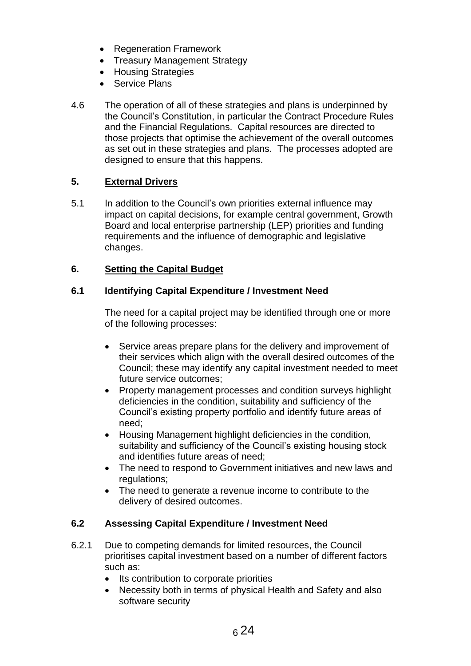- Regeneration Framework
- Treasury Management Strategy
- Housing Strategies
- Service Plans
- 4.6 The operation of all of these strategies and plans is underpinned by the Council's Constitution, in particular the Contract Procedure Rules and the Financial Regulations. Capital resources are directed to those projects that optimise the achievement of the overall outcomes as set out in these strategies and plans. The processes adopted are designed to ensure that this happens.

#### **5. External Drivers**

5.1 In addition to the Council's own priorities external influence may impact on capital decisions, for example central government, Growth Board and local enterprise partnership (LEP) priorities and funding requirements and the influence of demographic and legislative changes.

## **6. Setting the Capital Budget**

#### **6.1 Identifying Capital Expenditure / Investment Need**

The need for a capital project may be identified through one or more of the following processes:

- Service areas prepare plans for the delivery and improvement of their services which align with the overall desired outcomes of the Council; these may identify any capital investment needed to meet future service outcomes;
- Property management processes and condition surveys highlight deficiencies in the condition, suitability and sufficiency of the Council's existing property portfolio and identify future areas of need;
- Housing Management highlight deficiencies in the condition, suitability and sufficiency of the Council's existing housing stock and identifies future areas of need;
- The need to respond to Government initiatives and new laws and regulations;
- The need to generate a revenue income to contribute to the delivery of desired outcomes.

## **6.2 Assessing Capital Expenditure / Investment Need**

- 6.2.1 Due to competing demands for limited resources, the Council prioritises capital investment based on a number of different factors such as:
	- Its contribution to corporate priorities
	- Necessity both in terms of physical Health and Safety and also software security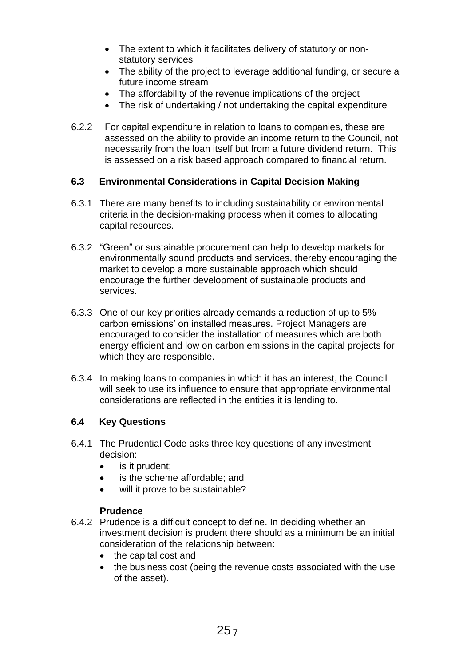- The extent to which it facilitates delivery of statutory or nonstatutory services
- The ability of the project to leverage additional funding, or secure a future income stream
- The affordability of the revenue implications of the project
- The risk of undertaking / not undertaking the capital expenditure
- 6.2.2 For capital expenditure in relation to loans to companies, these are assessed on the ability to provide an income return to the Council, not necessarily from the loan itself but from a future dividend return. This is assessed on a risk based approach compared to financial return.

## **6.3 Environmental Considerations in Capital Decision Making**

- 6.3.1 There are many benefits to including sustainability or environmental criteria in the decision-making process when it comes to allocating capital resources.
- 6.3.2 "Green" or sustainable procurement can help to develop markets for environmentally sound products and services, thereby encouraging the market to develop a more sustainable approach which should encourage the further development of sustainable products and services.
- 6.3.3 One of our key priorities already demands a reduction of up to 5% carbon emissions' on installed measures. Project Managers are encouraged to consider the installation of measures which are both energy efficient and low on carbon emissions in the capital projects for which they are responsible.
- 6.3.4 In making loans to companies in which it has an interest, the Council will seek to use its influence to ensure that appropriate environmental considerations are reflected in the entities it is lending to.

## **6.4 Key Questions**

- 6.4.1 The Prudential Code asks three key questions of any investment decision:
	- is it prudent;
	- is the scheme affordable: and
	- will it prove to be sustainable?

## **Prudence**

- 6.4.2 Prudence is a difficult concept to define. In deciding whether an investment decision is prudent there should as a minimum be an initial consideration of the relationship between:
	- the capital cost and
	- the business cost (being the revenue costs associated with the use of the asset).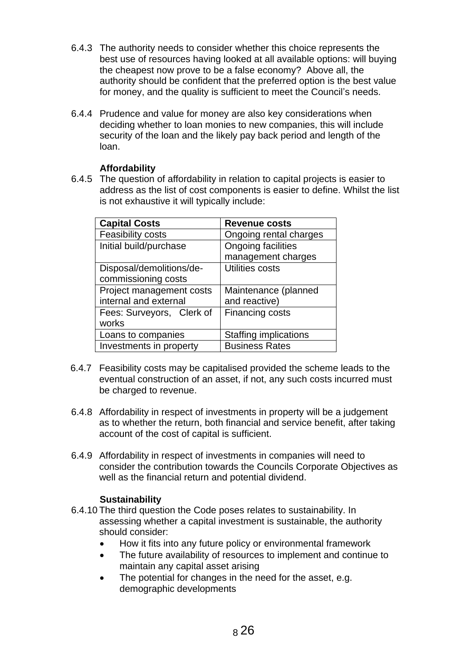- 6.4.3 The authority needs to consider whether this choice represents the best use of resources having looked at all available options: will buying the cheapest now prove to be a false economy? Above all, the authority should be confident that the preferred option is the best value for money, and the quality is sufficient to meet the Council's needs.
- 6.4.4 Prudence and value for money are also key considerations when deciding whether to loan monies to new companies, this will include security of the loan and the likely pay back period and length of the loan.

## **Affordability**

6.4.5 The question of affordability in relation to capital projects is easier to address as the list of cost components is easier to define. Whilst the list is not exhaustive it will typically include:

| <b>Capital Costs</b>      | <b>Revenue costs</b>         |
|---------------------------|------------------------------|
| Feasibility costs         | Ongoing rental charges       |
| Initial build/purchase    | <b>Ongoing facilities</b>    |
|                           | management charges           |
| Disposal/demolitions/de-  | Utilities costs              |
| commissioning costs       |                              |
| Project management costs  | Maintenance (planned         |
| internal and external     | and reactive)                |
| Fees: Surveyors, Clerk of | Financing costs              |
| works                     |                              |
| Loans to companies        | <b>Staffing implications</b> |
| Investments in property   | <b>Business Rates</b>        |

- 6.4.7 Feasibility costs may be capitalised provided the scheme leads to the eventual construction of an asset, if not, any such costs incurred must be charged to revenue.
- 6.4.8 Affordability in respect of investments in property will be a judgement as to whether the return, both financial and service benefit, after taking account of the cost of capital is sufficient.
- 6.4.9 Affordability in respect of investments in companies will need to consider the contribution towards the Councils Corporate Objectives as well as the financial return and potential dividend.

#### **Sustainability**

- 6.4.10 The third question the Code poses relates to sustainability. In assessing whether a capital investment is sustainable, the authority should consider:
	- How it fits into any future policy or environmental framework
	- The future availability of resources to implement and continue to maintain any capital asset arising
	- The potential for changes in the need for the asset, e.g. demographic developments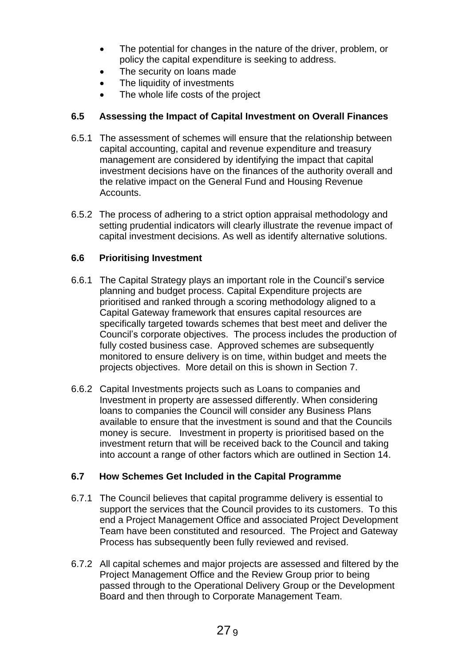- The potential for changes in the nature of the driver, problem, or policy the capital expenditure is seeking to address.
- The security on loans made
- The liquidity of investments
- The whole life costs of the project

## **6.5 Assessing the Impact of Capital Investment on Overall Finances**

- 6.5.1 The assessment of schemes will ensure that the relationship between capital accounting, capital and revenue expenditure and treasury management are considered by identifying the impact that capital investment decisions have on the finances of the authority overall and the relative impact on the General Fund and Housing Revenue Accounts.
- 6.5.2 The process of adhering to a strict option appraisal methodology and setting prudential indicators will clearly illustrate the revenue impact of capital investment decisions. As well as identify alternative solutions.

## **6.6 Prioritising Investment**

- 6.6.1 The Capital Strategy plays an important role in the Council's service planning and budget process. Capital Expenditure projects are prioritised and ranked through a scoring methodology aligned to a Capital Gateway framework that ensures capital resources are specifically targeted towards schemes that best meet and deliver the Council's corporate objectives. The process includes the production of fully costed business case. Approved schemes are subsequently monitored to ensure delivery is on time, within budget and meets the projects objectives. More detail on this is shown in Section 7.
- 6.6.2 Capital Investments projects such as Loans to companies and Investment in property are assessed differently. When considering loans to companies the Council will consider any Business Plans available to ensure that the investment is sound and that the Councils money is secure. Investment in property is prioritised based on the investment return that will be received back to the Council and taking into account a range of other factors which are outlined in Section 14.

## **6.7 How Schemes Get Included in the Capital Programme**

- 6.7.1 The Council believes that capital programme delivery is essential to support the services that the Council provides to its customers. To this end a Project Management Office and associated Project Development Team have been constituted and resourced. The Project and Gateway Process has subsequently been fully reviewed and revised.
- 6.7.2 All capital schemes and major projects are assessed and filtered by the Project Management Office and the Review Group prior to being passed through to the Operational Delivery Group or the Development Board and then through to Corporate Management Team.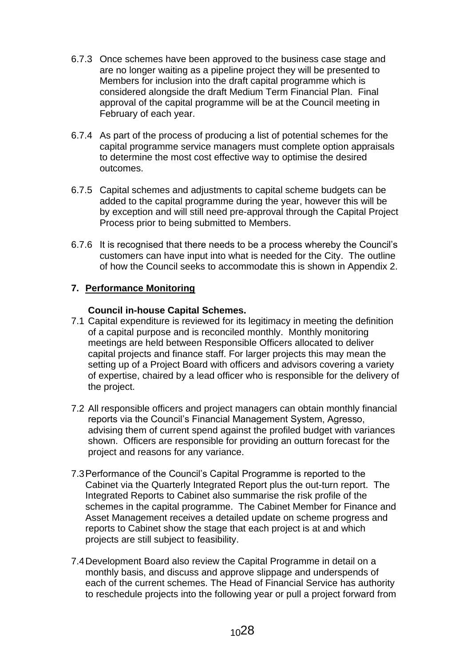- 6.7.3 Once schemes have been approved to the business case stage and are no longer waiting as a pipeline project they will be presented to Members for inclusion into the draft capital programme which is considered alongside the draft Medium Term Financial Plan. Final approval of the capital programme will be at the Council meeting in February of each year.
- 6.7.4 As part of the process of producing a list of potential schemes for the capital programme service managers must complete option appraisals to determine the most cost effective way to optimise the desired outcomes.
- 6.7.5 Capital schemes and adjustments to capital scheme budgets can be added to the capital programme during the year, however this will be by exception and will still need pre-approval through the Capital Project Process prior to being submitted to Members.
- 6.7.6 It is recognised that there needs to be a process whereby the Council's customers can have input into what is needed for the City. The outline of how the Council seeks to accommodate this is shown in Appendix 2.

## **7. Performance Monitoring**

#### **Council in-house Capital Schemes.**

- 7.1 Capital expenditure is reviewed for its legitimacy in meeting the definition of a capital purpose and is reconciled monthly. Monthly monitoring meetings are held between Responsible Officers allocated to deliver capital projects and finance staff. For larger projects this may mean the setting up of a Project Board with officers and advisors covering a variety of expertise, chaired by a lead officer who is responsible for the delivery of the project.
- 7.2 All responsible officers and project managers can obtain monthly financial reports via the Council's Financial Management System, Agresso, advising them of current spend against the profiled budget with variances shown. Officers are responsible for providing an outturn forecast for the project and reasons for any variance.
- 7.3Performance of the Council's Capital Programme is reported to the Cabinet via the Quarterly Integrated Report plus the out-turn report. The Integrated Reports to Cabinet also summarise the risk profile of the schemes in the capital programme. The Cabinet Member for Finance and Asset Management receives a detailed update on scheme progress and reports to Cabinet show the stage that each project is at and which projects are still subject to feasibility.
- 7.4Development Board also review the Capital Programme in detail on a monthly basis, and discuss and approve slippage and underspends of each of the current schemes. The Head of Financial Service has authority to reschedule projects into the following year or pull a project forward from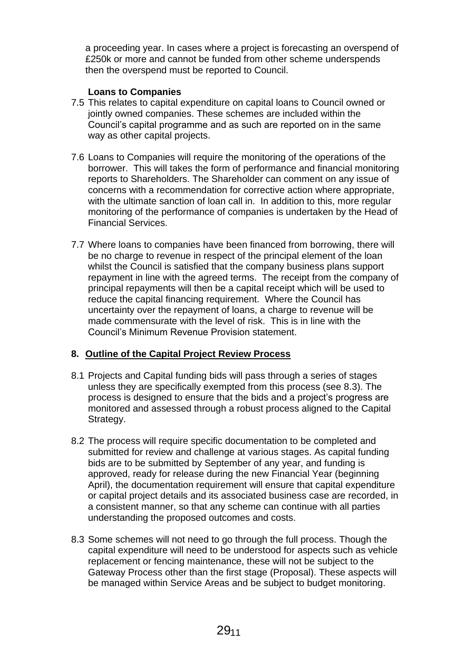a proceeding year. In cases where a project is forecasting an overspend of £250k or more and cannot be funded from other scheme underspends then the overspend must be reported to Council.

## **Loans to Companies**

- 7.5 This relates to capital expenditure on capital loans to Council owned or jointly owned companies. These schemes are included within the Council's capital programme and as such are reported on in the same way as other capital projects.
- 7.6 Loans to Companies will require the monitoring of the operations of the borrower. This will takes the form of performance and financial monitoring reports to Shareholders. The Shareholder can comment on any issue of concerns with a recommendation for corrective action where appropriate, with the ultimate sanction of loan call in. In addition to this, more regular monitoring of the performance of companies is undertaken by the Head of Financial Services.
- 7.7 Where loans to companies have been financed from borrowing, there will be no charge to revenue in respect of the principal element of the loan whilst the Council is satisfied that the company business plans support repayment in line with the agreed terms. The receipt from the company of principal repayments will then be a capital receipt which will be used to reduce the capital financing requirement. Where the Council has uncertainty over the repayment of loans, a charge to revenue will be made commensurate with the level of risk. This is in line with the Council's Minimum Revenue Provision statement.

## **8. Outline of the Capital Project Review Process**

- 8.1 Projects and Capital funding bids will pass through a series of stages unless they are specifically exempted from this process (see 8.3). The process is designed to ensure that the bids and a project's progress are monitored and assessed through a robust process aligned to the Capital Strategy.
- 8.2 The process will require specific documentation to be completed and submitted for review and challenge at various stages. As capital funding bids are to be submitted by September of any year, and funding is approved, ready for release during the new Financial Year (beginning April), the documentation requirement will ensure that capital expenditure or capital project details and its associated business case are recorded, in a consistent manner, so that any scheme can continue with all parties understanding the proposed outcomes and costs.
- 8.3 Some schemes will not need to go through the full process. Though the capital expenditure will need to be understood for aspects such as vehicle replacement or fencing maintenance, these will not be subject to the Gateway Process other than the first stage (Proposal). These aspects will be managed within Service Areas and be subject to budget monitoring.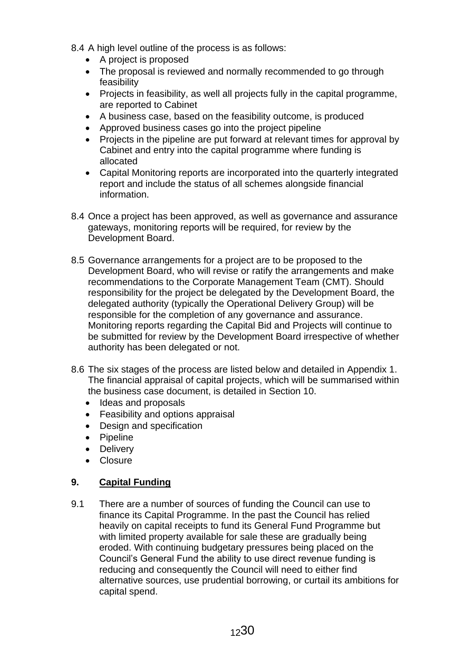- 8.4 A high level outline of the process is as follows:
	- A project is proposed
	- The proposal is reviewed and normally recommended to go through feasibility
	- Projects in feasibility, as well all projects fully in the capital programme, are reported to Cabinet
	- A business case, based on the feasibility outcome, is produced
	- Approved business cases go into the project pipeline
	- Projects in the pipeline are put forward at relevant times for approval by Cabinet and entry into the capital programme where funding is allocated
	- Capital Monitoring reports are incorporated into the quarterly integrated report and include the status of all schemes alongside financial information.
- 8.4 Once a project has been approved, as well as governance and assurance gateways, monitoring reports will be required, for review by the Development Board.
- 8.5 Governance arrangements for a project are to be proposed to the Development Board, who will revise or ratify the arrangements and make recommendations to the Corporate Management Team (CMT). Should responsibility for the project be delegated by the Development Board, the delegated authority (typically the Operational Delivery Group) will be responsible for the completion of any governance and assurance. Monitoring reports regarding the Capital Bid and Projects will continue to be submitted for review by the Development Board irrespective of whether authority has been delegated or not.
- 8.6 The six stages of the process are listed below and detailed in Appendix 1. The financial appraisal of capital projects, which will be summarised within the business case document, is detailed in Section 10.
	- Ideas and proposals
	- Feasibility and options appraisal
	- Design and specification
	- Pipeline
	- Delivery
	- Closure

## **9. Capital Funding**

9.1 There are a number of sources of funding the Council can use to finance its Capital Programme. In the past the Council has relied heavily on capital receipts to fund its General Fund Programme but with limited property available for sale these are gradually being eroded. With continuing budgetary pressures being placed on the Council's General Fund the ability to use direct revenue funding is reducing and consequently the Council will need to either find alternative sources, use prudential borrowing, or curtail its ambitions for capital spend.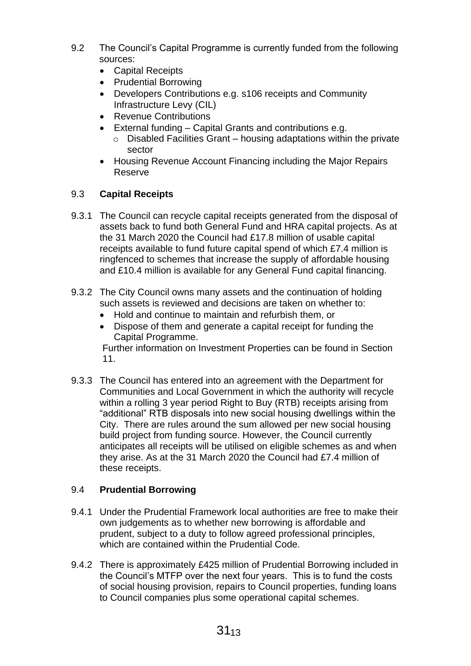- 9.2 The Council's Capital Programme is currently funded from the following sources:
	- Capital Receipts
	- Prudential Borrowing
	- Developers Contributions e.g. s106 receipts and Community Infrastructure Levy (CIL)
	- Revenue Contributions
	- External funding Capital Grants and contributions e.g.
		- $\circ$  Disabled Facilities Grant housing adaptations within the private sector
	- Housing Revenue Account Financing including the Major Repairs Reserve

## 9.3 **Capital Receipts**

- 9.3.1 The Council can recycle capital receipts generated from the disposal of assets back to fund both General Fund and HRA capital projects. As at the 31 March 2020 the Council had £17.8 million of usable capital receipts available to fund future capital spend of which £7.4 million is ringfenced to schemes that increase the supply of affordable housing and £10.4 million is available for any General Fund capital financing.
- 9.3.2 The City Council owns many assets and the continuation of holding such assets is reviewed and decisions are taken on whether to:
	- Hold and continue to maintain and refurbish them, or
	- Dispose of them and generate a capital receipt for funding the Capital Programme.

Further information on Investment Properties can be found in Section 11.

9.3.3 The Council has entered into an agreement with the Department for Communities and Local Government in which the authority will recycle within a rolling 3 year period Right to Buy (RTB) receipts arising from "additional" RTB disposals into new social housing dwellings within the City. There are rules around the sum allowed per new social housing build project from funding source. However, the Council currently anticipates all receipts will be utilised on eligible schemes as and when they arise. As at the 31 March 2020 the Council had £7.4 million of these receipts.

## 9.4 **Prudential Borrowing**

- 9.4.1 Under the Prudential Framework local authorities are free to make their own judgements as to whether new borrowing is affordable and prudent, subject to a duty to follow agreed professional principles, which are contained within the Prudential Code.
- 9.4.2 There is approximately £425 million of Prudential Borrowing included in the Council's MTFP over the next four years. This is to fund the costs of social housing provision, repairs to Council properties, funding loans to Council companies plus some operational capital schemes.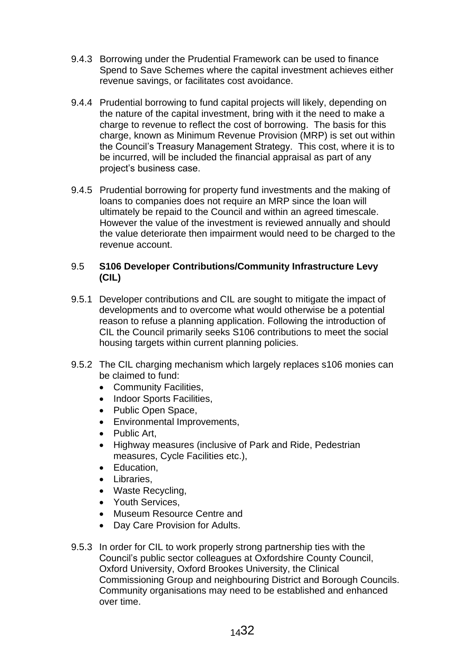- 9.4.3 Borrowing under the Prudential Framework can be used to finance Spend to Save Schemes where the capital investment achieves either revenue savings, or facilitates cost avoidance.
- 9.4.4 Prudential borrowing to fund capital projects will likely, depending on the nature of the capital investment, bring with it the need to make a charge to revenue to reflect the cost of borrowing. The basis for this charge, known as Minimum Revenue Provision (MRP) is set out within the Council's Treasury Management Strategy. This cost, where it is to be incurred, will be included the financial appraisal as part of any project's business case.
- 9.4.5 Prudential borrowing for property fund investments and the making of loans to companies does not require an MRP since the loan will ultimately be repaid to the Council and within an agreed timescale. However the value of the investment is reviewed annually and should the value deteriorate then impairment would need to be charged to the revenue account.

#### 9.5 **S106 Developer Contributions/Community Infrastructure Levy (CIL)**

- 9.5.1 Developer contributions and CIL are sought to mitigate the impact of developments and to overcome what would otherwise be a potential reason to refuse a planning application. Following the introduction of CIL the Council primarily seeks S106 contributions to meet the social housing targets within current planning policies.
- 9.5.2 The CIL charging mechanism which largely replaces s106 monies can be claimed to fund:
	- Community Facilities,
	- Indoor Sports Facilities,
	- Public Open Space,
	- Environmental Improvements,
	- Public Art.
	- Highway measures (inclusive of Park and Ride, Pedestrian measures, Cycle Facilities etc.),
	- Education.
	- Libraries.
	- Waste Recycling,
	- Youth Services.
	- Museum Resource Centre and
	- Day Care Provision for Adults.
- 9.5.3 In order for CIL to work properly strong partnership ties with the Council's public sector colleagues at Oxfordshire County Council, Oxford University, Oxford Brookes University, the Clinical Commissioning Group and neighbouring District and Borough Councils. Community organisations may need to be established and enhanced over time.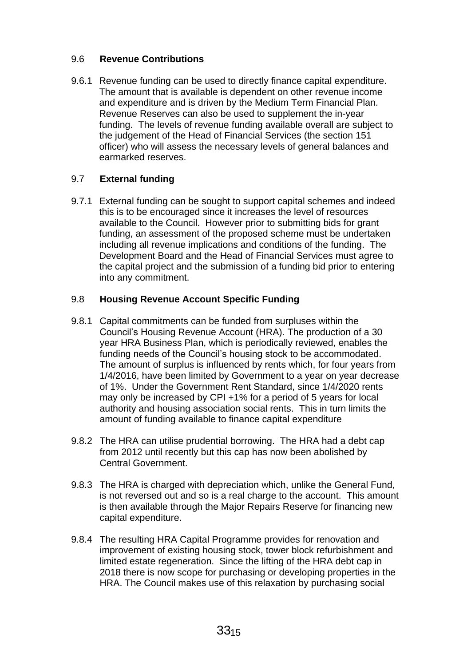## 9.6 **Revenue Contributions**

9.6.1 Revenue funding can be used to directly finance capital expenditure. The amount that is available is dependent on other revenue income and expenditure and is driven by the Medium Term Financial Plan. Revenue Reserves can also be used to supplement the in-year funding. The levels of revenue funding available overall are subject to the judgement of the Head of Financial Services (the section 151 officer) who will assess the necessary levels of general balances and earmarked reserves.

## 9.7 **External funding**

9.7.1 External funding can be sought to support capital schemes and indeed this is to be encouraged since it increases the level of resources available to the Council. However prior to submitting bids for grant funding, an assessment of the proposed scheme must be undertaken including all revenue implications and conditions of the funding. The Development Board and the Head of Financial Services must agree to the capital project and the submission of a funding bid prior to entering into any commitment.

## 9.8 **Housing Revenue Account Specific Funding**

- 9.8.1 Capital commitments can be funded from surpluses within the Council's Housing Revenue Account (HRA). The production of a 30 year HRA Business Plan, which is periodically reviewed, enables the funding needs of the Council's housing stock to be accommodated. The amount of surplus is influenced by rents which, for four years from 1/4/2016, have been limited by Government to a year on year decrease of 1%. Under the Government Rent Standard, since 1/4/2020 rents may only be increased by CPI +1% for a period of 5 years for local authority and housing association social rents. This in turn limits the amount of funding available to finance capital expenditure
- 9.8.2 The HRA can utilise prudential borrowing. The HRA had a debt cap from 2012 until recently but this cap has now been abolished by Central Government.
- 9.8.3 The HRA is charged with depreciation which, unlike the General Fund, is not reversed out and so is a real charge to the account. This amount is then available through the Major Repairs Reserve for financing new capital expenditure.
- 9.8.4 The resulting HRA Capital Programme provides for renovation and improvement of existing housing stock, tower block refurbishment and limited estate regeneration. Since the lifting of the HRA debt cap in 2018 there is now scope for purchasing or developing properties in the HRA. The Council makes use of this relaxation by purchasing social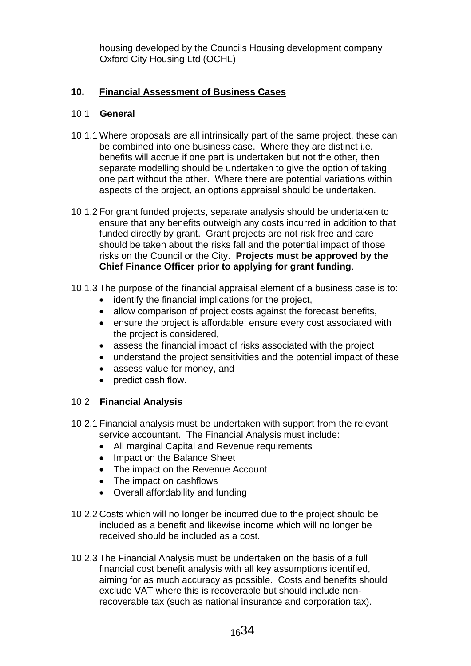housing developed by the Councils Housing development company Oxford City Housing Ltd (OCHL)

## **10. Financial Assessment of Business Cases**

## 10.1 **General**

- 10.1.1 Where proposals are all intrinsically part of the same project, these can be combined into one business case. Where they are distinct i.e. benefits will accrue if one part is undertaken but not the other, then separate modelling should be undertaken to give the option of taking one part without the other. Where there are potential variations within aspects of the project, an options appraisal should be undertaken.
- 10.1.2 For grant funded projects, separate analysis should be undertaken to ensure that any benefits outweigh any costs incurred in addition to that funded directly by grant. Grant projects are not risk free and care should be taken about the risks fall and the potential impact of those risks on the Council or the City. **Projects must be approved by the Chief Finance Officer prior to applying for grant funding**.
- 10.1.3 The purpose of the financial appraisal element of a business case is to:
	- identify the financial implications for the project,
	- allow comparison of project costs against the forecast benefits,
	- ensure the project is affordable; ensure every cost associated with the project is considered,
	- assess the financial impact of risks associated with the project
	- understand the project sensitivities and the potential impact of these
	- assess value for money, and
	- predict cash flow.

## 10.2 **Financial Analysis**

- 10.2.1 Financial analysis must be undertaken with support from the relevant service accountant. The Financial Analysis must include:
	- All marginal Capital and Revenue requirements
	- Impact on the Balance Sheet
	- The impact on the Revenue Account
	- The impact on cashflows
	- Overall affordability and funding
- 10.2.2 Costs which will no longer be incurred due to the project should be included as a benefit and likewise income which will no longer be received should be included as a cost.
- 10.2.3 The Financial Analysis must be undertaken on the basis of a full financial cost benefit analysis with all key assumptions identified, aiming for as much accuracy as possible. Costs and benefits should exclude VAT where this is recoverable but should include nonrecoverable tax (such as national insurance and corporation tax).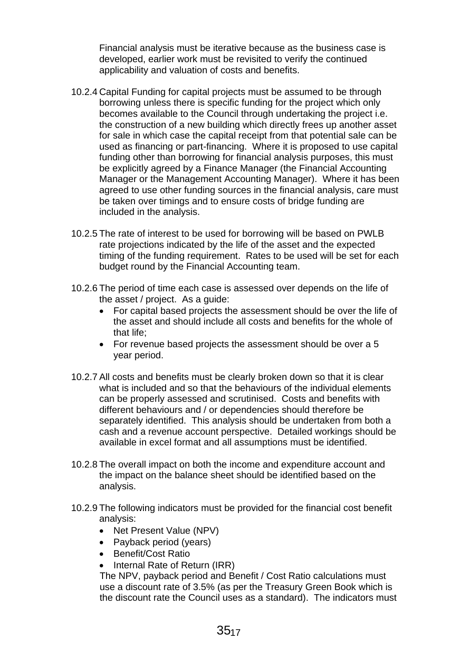Financial analysis must be iterative because as the business case is developed, earlier work must be revisited to verify the continued applicability and valuation of costs and benefits.

- 10.2.4 Capital Funding for capital projects must be assumed to be through borrowing unless there is specific funding for the project which only becomes available to the Council through undertaking the project i.e. the construction of a new building which directly frees up another asset for sale in which case the capital receipt from that potential sale can be used as financing or part-financing. Where it is proposed to use capital funding other than borrowing for financial analysis purposes, this must be explicitly agreed by a Finance Manager (the Financial Accounting Manager or the Management Accounting Manager). Where it has been agreed to use other funding sources in the financial analysis, care must be taken over timings and to ensure costs of bridge funding are included in the analysis.
- 10.2.5 The rate of interest to be used for borrowing will be based on PWLB rate projections indicated by the life of the asset and the expected timing of the funding requirement. Rates to be used will be set for each budget round by the Financial Accounting team.
- 10.2.6 The period of time each case is assessed over depends on the life of the asset / project. As a guide:
	- For capital based projects the assessment should be over the life of the asset and should include all costs and benefits for the whole of that life;
	- For revenue based projects the assessment should be over a 5 year period.
- 10.2.7 All costs and benefits must be clearly broken down so that it is clear what is included and so that the behaviours of the individual elements can be properly assessed and scrutinised. Costs and benefits with different behaviours and / or dependencies should therefore be separately identified. This analysis should be undertaken from both a cash and a revenue account perspective. Detailed workings should be available in excel format and all assumptions must be identified.
- 10.2.8 The overall impact on both the income and expenditure account and the impact on the balance sheet should be identified based on the analysis.
- 10.2.9 The following indicators must be provided for the financial cost benefit analysis:
	- Net Present Value (NPV)
	- Payback period (years)
	- Benefit/Cost Ratio
	- Internal Rate of Return (IRR)

The NPV, payback period and Benefit / Cost Ratio calculations must use a discount rate of 3.5% (as per the Treasury Green Book which is the discount rate the Council uses as a standard). The indicators must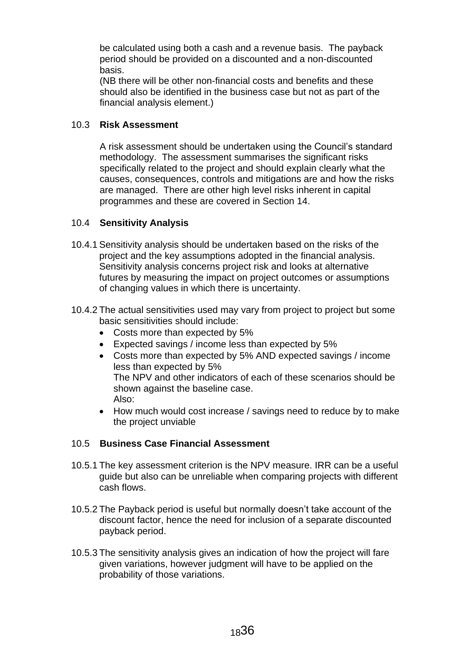be calculated using both a cash and a revenue basis. The payback period should be provided on a discounted and a non-discounted basis.

(NB there will be other non-financial costs and benefits and these should also be identified in the business case but not as part of the financial analysis element.)

## 10.3 **Risk Assessment**

A risk assessment should be undertaken using the Council's standard methodology. The assessment summarises the significant risks specifically related to the project and should explain clearly what the causes, consequences, controls and mitigations are and how the risks are managed. There are other high level risks inherent in capital programmes and these are covered in Section 14.

## 10.4 **Sensitivity Analysis**

- 10.4.1 Sensitivity analysis should be undertaken based on the risks of the project and the key assumptions adopted in the financial analysis. Sensitivity analysis concerns project risk and looks at alternative futures by measuring the impact on project outcomes or assumptions of changing values in which there is uncertainty.
- 10.4.2 The actual sensitivities used may vary from project to project but some basic sensitivities should include:
	- Costs more than expected by 5%
	- Expected savings / income less than expected by 5%
	- Costs more than expected by 5% AND expected savings / income less than expected by 5% The NPV and other indicators of each of these scenarios should be shown against the baseline case. Also:
	- How much would cost increase / savings need to reduce by to make the project unviable

#### 10.5 **Business Case Financial Assessment**

- 10.5.1 The key assessment criterion is the NPV measure. IRR can be a useful guide but also can be unreliable when comparing projects with different cash flows.
- 10.5.2 The Payback period is useful but normally doesn't take account of the discount factor, hence the need for inclusion of a separate discounted payback period.
- 10.5.3 The sensitivity analysis gives an indication of how the project will fare given variations, however judgment will have to be applied on the probability of those variations.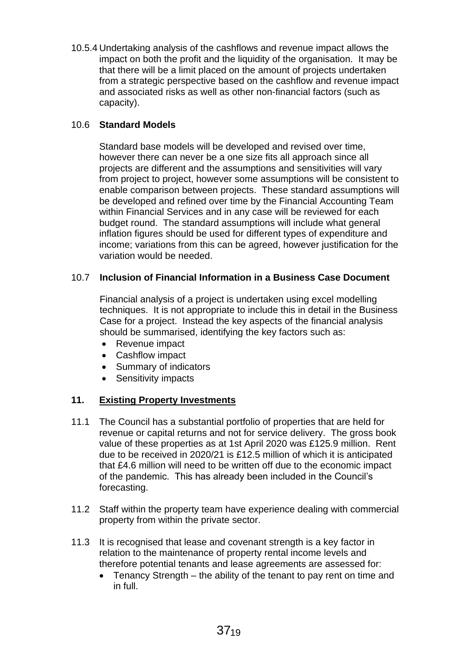10.5.4 Undertaking analysis of the cashflows and revenue impact allows the impact on both the profit and the liquidity of the organisation. It may be that there will be a limit placed on the amount of projects undertaken from a strategic perspective based on the cashflow and revenue impact and associated risks as well as other non-financial factors (such as capacity).

## 10.6 **Standard Models**

Standard base models will be developed and revised over time, however there can never be a one size fits all approach since all projects are different and the assumptions and sensitivities will vary from project to project, however some assumptions will be consistent to enable comparison between projects. These standard assumptions will be developed and refined over time by the Financial Accounting Team within Financial Services and in any case will be reviewed for each budget round. The standard assumptions will include what general inflation figures should be used for different types of expenditure and income; variations from this can be agreed, however justification for the variation would be needed.

## 10.7 **Inclusion of Financial Information in a Business Case Document**

Financial analysis of a project is undertaken using excel modelling techniques. It is not appropriate to include this in detail in the Business Case for a project. Instead the key aspects of the financial analysis should be summarised, identifying the key factors such as:

- Revenue impact
- Cashflow impact
- Summary of indicators
- Sensitivity impacts

## **11. Existing Property Investments**

- 11.1 The Council has a substantial portfolio of properties that are held for revenue or capital returns and not for service delivery. The gross book value of these properties as at 1st April 2020 was £125.9 million. Rent due to be received in 2020/21 is £12.5 million of which it is anticipated that £4.6 million will need to be written off due to the economic impact of the pandemic. This has already been included in the Council's forecasting.
- 11.2 Staff within the property team have experience dealing with commercial property from within the private sector.
- 11.3 It is recognised that lease and covenant strength is a key factor in relation to the maintenance of property rental income levels and therefore potential tenants and lease agreements are assessed for:
	- Tenancy Strength the ability of the tenant to pay rent on time and in full.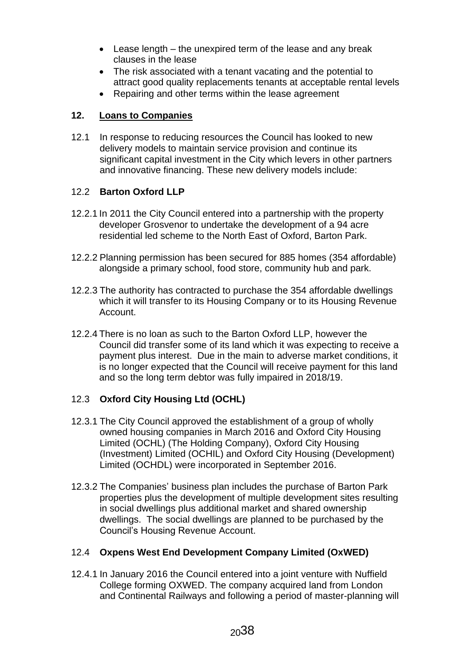- Lease length the unexpired term of the lease and any break clauses in the lease
- The risk associated with a tenant vacating and the potential to attract good quality replacements tenants at acceptable rental levels
- Repairing and other terms within the lease agreement

## **12. Loans to Companies**

12.1 In response to reducing resources the Council has looked to new delivery models to maintain service provision and continue its significant capital investment in the City which levers in other partners and innovative financing. These new delivery models include:

## 12.2 **Barton Oxford LLP**

- 12.2.1 In 2011 the City Council entered into a partnership with the property developer Grosvenor to undertake the development of a 94 acre residential led scheme to the North East of Oxford, Barton Park.
- 12.2.2 Planning permission has been secured for 885 homes (354 affordable) alongside a primary school, food store, community hub and park.
- 12.2.3 The authority has contracted to purchase the 354 affordable dwellings which it will transfer to its Housing Company or to its Housing Revenue Account.
- 12.2.4 There is no loan as such to the Barton Oxford LLP, however the Council did transfer some of its land which it was expecting to receive a payment plus interest. Due in the main to adverse market conditions, it is no longer expected that the Council will receive payment for this land and so the long term debtor was fully impaired in 2018/19.

## 12.3 **Oxford City Housing Ltd (OCHL)**

- 12.3.1 The City Council approved the establishment of a group of wholly owned housing companies in March 2016 and Oxford City Housing Limited (OCHL) (The Holding Company), Oxford City Housing (Investment) Limited (OCHIL) and Oxford City Housing (Development) Limited (OCHDL) were incorporated in September 2016.
- 12.3.2 The Companies' business plan includes the purchase of Barton Park properties plus the development of multiple development sites resulting in social dwellings plus additional market and shared ownership dwellings. The social dwellings are planned to be purchased by the Council's Housing Revenue Account.

## 12.4 **Oxpens West End Development Company Limited (OxWED)**

12.4.1 In January 2016 the Council entered into a joint venture with Nuffield College forming OXWED. The company acquired land from London and Continental Railways and following a period of master-planning will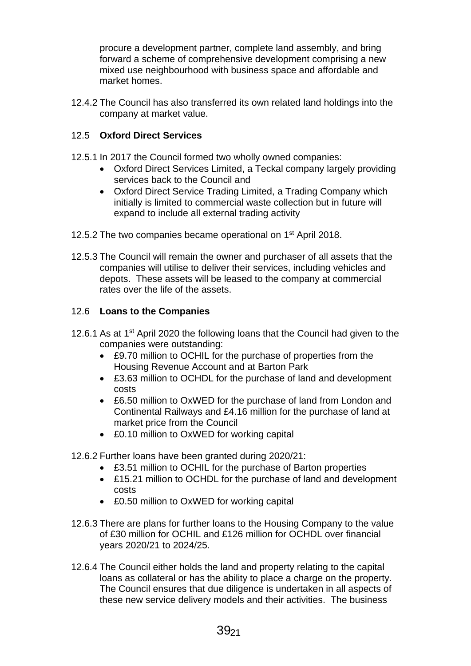procure a development partner, complete land assembly, and bring forward a scheme of comprehensive development comprising a new mixed use neighbourhood with business space and affordable and market homes.

12.4.2 The Council has also transferred its own related land holdings into the company at market value.

## 12.5 **Oxford Direct Services**

- 12.5.1 In 2017 the Council formed two wholly owned companies:
	- Oxford Direct Services Limited, a Teckal company largely providing services back to the Council and
	- Oxford Direct Service Trading Limited, a Trading Company which initially is limited to commercial waste collection but in future will expand to include all external trading activity
- 12.5.2 The two companies became operational on 1<sup>st</sup> April 2018.
- 12.5.3 The Council will remain the owner and purchaser of all assets that the companies will utilise to deliver their services, including vehicles and depots. These assets will be leased to the company at commercial rates over the life of the assets.

## 12.6 **Loans to the Companies**

- 12.6.1 As at 1<sup>st</sup> April 2020 the following loans that the Council had given to the companies were outstanding:
	- £9.70 million to OCHIL for the purchase of properties from the Housing Revenue Account and at Barton Park
	- £3.63 million to OCHDL for the purchase of land and development costs
	- £6.50 million to OxWED for the purchase of land from London and Continental Railways and £4.16 million for the purchase of land at market price from the Council
	- £0.10 million to OxWED for working capital
- 12.6.2 Further loans have been granted during 2020/21:
	- £3.51 million to OCHIL for the purchase of Barton properties
	- £15.21 million to OCHDL for the purchase of land and development costs
	- £0.50 million to OxWED for working capital
- 12.6.3 There are plans for further loans to the Housing Company to the value of £30 million for OCHIL and £126 million for OCHDL over financial years 2020/21 to 2024/25.
- 12.6.4 The Council either holds the land and property relating to the capital loans as collateral or has the ability to place a charge on the property. The Council ensures that due diligence is undertaken in all aspects of these new service delivery models and their activities. The business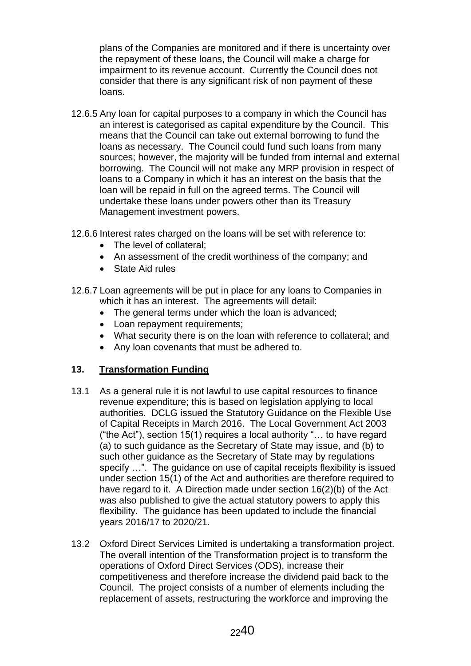plans of the Companies are monitored and if there is uncertainty over the repayment of these loans, the Council will make a charge for impairment to its revenue account. Currently the Council does not consider that there is any significant risk of non payment of these loans.

- 12.6.5 Any loan for capital purposes to a company in which the Council has an interest is categorised as capital expenditure by the Council. This means that the Council can take out external borrowing to fund the loans as necessary. The Council could fund such loans from many sources; however, the majority will be funded from internal and external borrowing. The Council will not make any MRP provision in respect of loans to a Company in which it has an interest on the basis that the loan will be repaid in full on the agreed terms. The Council will undertake these loans under powers other than its Treasury Management investment powers.
- 12.6.6 Interest rates charged on the loans will be set with reference to:
	- The level of collateral;
	- An assessment of the credit worthiness of the company; and
	- State Aid rules
- 12.6.7 Loan agreements will be put in place for any loans to Companies in which it has an interest. The agreements will detail:
	- The general terms under which the loan is advanced;
	- Loan repayment requirements;
	- What security there is on the loan with reference to collateral; and
	- Any loan covenants that must be adhered to.

## **13. Transformation Funding**

- 13.1 As a general rule it is not lawful to use capital resources to finance revenue expenditure; this is based on legislation applying to local authorities. DCLG issued the Statutory Guidance on the Flexible Use of Capital Receipts in March 2016. The Local Government Act 2003 ("the Act"), section 15(1) requires a local authority "… to have regard (a) to such guidance as the Secretary of State may issue, and (b) to such other guidance as the Secretary of State may by regulations specify …". The guidance on use of capital receipts flexibility is issued under section 15(1) of the Act and authorities are therefore required to have regard to it. A Direction made under section 16(2)(b) of the Act was also published to give the actual statutory powers to apply this flexibility. The guidance has been updated to include the financial years 2016/17 to 2020/21.
- 13.2 Oxford Direct Services Limited is undertaking a transformation project. The overall intention of the Transformation project is to transform the operations of Oxford Direct Services (ODS), increase their competitiveness and therefore increase the dividend paid back to the Council. The project consists of a number of elements including the replacement of assets, restructuring the workforce and improving the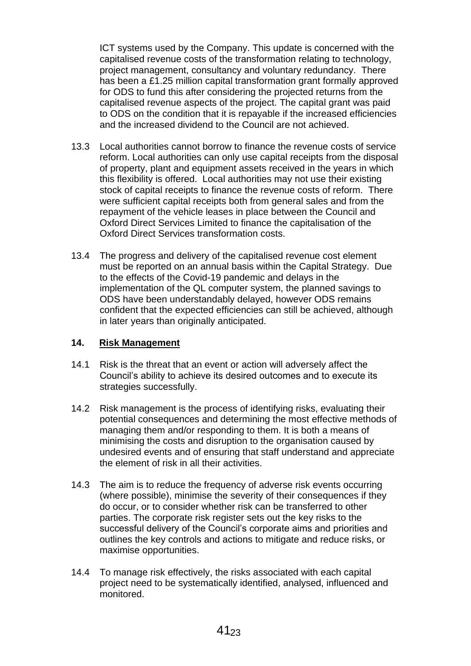ICT systems used by the Company. This update is concerned with the capitalised revenue costs of the transformation relating to technology, project management, consultancy and voluntary redundancy. There has been a £1.25 million capital transformation grant formally approved for ODS to fund this after considering the projected returns from the capitalised revenue aspects of the project. The capital grant was paid to ODS on the condition that it is repayable if the increased efficiencies and the increased dividend to the Council are not achieved.

- 13.3 Local authorities cannot borrow to finance the revenue costs of service reform. Local authorities can only use capital receipts from the disposal of property, plant and equipment assets received in the years in which this flexibility is offered. Local authorities may not use their existing stock of capital receipts to finance the revenue costs of reform. There were sufficient capital receipts both from general sales and from the repayment of the vehicle leases in place between the Council and Oxford Direct Services Limited to finance the capitalisation of the Oxford Direct Services transformation costs.
- 13.4 The progress and delivery of the capitalised revenue cost element must be reported on an annual basis within the Capital Strategy. Due to the effects of the Covid-19 pandemic and delays in the implementation of the QL computer system, the planned savings to ODS have been understandably delayed, however ODS remains confident that the expected efficiencies can still be achieved, although in later years than originally anticipated.

#### **14. Risk Management**

- 14.1 Risk is the threat that an event or action will adversely affect the Council's ability to achieve its desired outcomes and to execute its strategies successfully.
- 14.2 Risk management is the process of identifying risks, evaluating their potential consequences and determining the most effective methods of managing them and/or responding to them. It is both a means of minimising the costs and disruption to the organisation caused by undesired events and of ensuring that staff understand and appreciate the element of risk in all their activities.
- 14.3 The aim is to reduce the frequency of adverse risk events occurring (where possible), minimise the severity of their consequences if they do occur, or to consider whether risk can be transferred to other parties. The corporate risk register sets out the key risks to the successful delivery of the Council's corporate aims and priorities and outlines the key controls and actions to mitigate and reduce risks, or maximise opportunities.
- 14.4 To manage risk effectively, the risks associated with each capital project need to be systematically identified, analysed, influenced and monitored.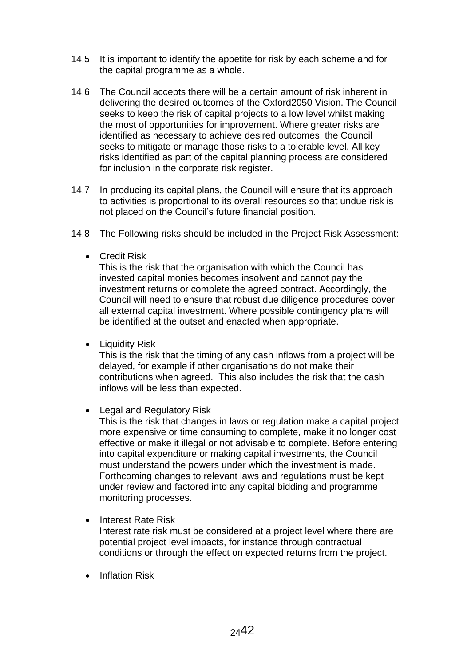- 14.5 It is important to identify the appetite for risk by each scheme and for the capital programme as a whole.
- 14.6 The Council accepts there will be a certain amount of risk inherent in delivering the desired outcomes of the Oxford2050 Vision. The Council seeks to keep the risk of capital projects to a low level whilst making the most of opportunities for improvement. Where greater risks are identified as necessary to achieve desired outcomes, the Council seeks to mitigate or manage those risks to a tolerable level. All key risks identified as part of the capital planning process are considered for inclusion in the corporate risk register.
- 14.7 In producing its capital plans, the Council will ensure that its approach to activities is proportional to its overall resources so that undue risk is not placed on the Council's future financial position.
- 14.8 The Following risks should be included in the Project Risk Assessment:
	- **•** Credit Risk

This is the risk that the organisation with which the Council has invested capital monies becomes insolvent and cannot pay the investment returns or complete the agreed contract. Accordingly, the Council will need to ensure that robust due diligence procedures cover all external capital investment. Where possible contingency plans will be identified at the outset and enacted when appropriate.

• Liquidity Risk

This is the risk that the timing of any cash inflows from a project will be delayed, for example if other organisations do not make their contributions when agreed. This also includes the risk that the cash inflows will be less than expected.

• Legal and Regulatory Risk

This is the risk that changes in laws or regulation make a capital project more expensive or time consuming to complete, make it no longer cost effective or make it illegal or not advisable to complete. Before entering into capital expenditure or making capital investments, the Council must understand the powers under which the investment is made. Forthcoming changes to relevant laws and regulations must be kept under review and factored into any capital bidding and programme monitoring processes.

• Interest Rate Risk

Interest rate risk must be considered at a project level where there are potential project level impacts, for instance through contractual conditions or through the effect on expected returns from the project.

• Inflation Risk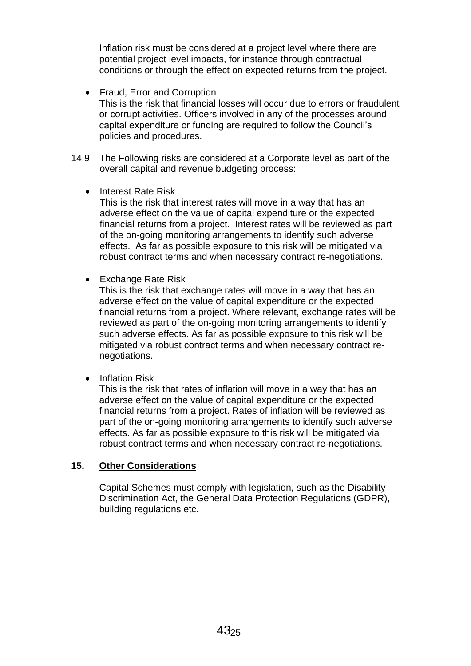Inflation risk must be considered at a project level where there are potential project level impacts, for instance through contractual conditions or through the effect on expected returns from the project.

- Fraud, Error and Corruption This is the risk that financial losses will occur due to errors or fraudulent or corrupt activities. Officers involved in any of the processes around capital expenditure or funding are required to follow the Council's policies and procedures.
- 14.9 The Following risks are considered at a Corporate level as part of the overall capital and revenue budgeting process:
	- Interest Rate Risk

This is the risk that interest rates will move in a way that has an adverse effect on the value of capital expenditure or the expected financial returns from a project. Interest rates will be reviewed as part of the on-going monitoring arrangements to identify such adverse effects. As far as possible exposure to this risk will be mitigated via robust contract terms and when necessary contract re-negotiations.

• Exchange Rate Risk

This is the risk that exchange rates will move in a way that has an adverse effect on the value of capital expenditure or the expected financial returns from a project. Where relevant, exchange rates will be reviewed as part of the on-going monitoring arrangements to identify such adverse effects. As far as possible exposure to this risk will be mitigated via robust contract terms and when necessary contract renegotiations.

• Inflation Risk

This is the risk that rates of inflation will move in a way that has an adverse effect on the value of capital expenditure or the expected financial returns from a project. Rates of inflation will be reviewed as part of the on-going monitoring arrangements to identify such adverse effects. As far as possible exposure to this risk will be mitigated via robust contract terms and when necessary contract re-negotiations.

#### **15. Other Considerations**

Capital Schemes must comply with legislation, such as the Disability Discrimination Act, the General Data Protection Regulations (GDPR), building regulations etc.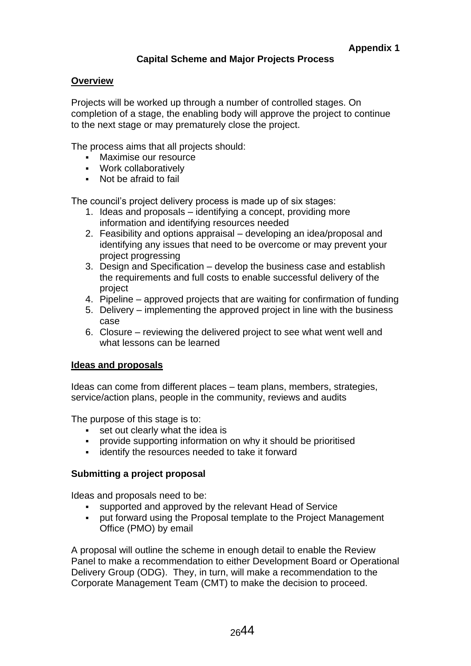## **Capital Scheme and Major Projects Process**

#### **Overview**

Projects will be worked up through a number of controlled stages. On completion of a stage, the enabling body will approve the project to continue to the next stage or may prematurely close the project.

The process aims that all projects should:

- **Naximise our resource**
- Work collaboratively
- Not be afraid to fail

The council's project delivery process is made up of six stages:

- 1. Ideas and proposals identifying a concept, providing more information and identifying resources needed
- 2. Feasibility and options appraisal developing an idea/proposal and identifying any issues that need to be overcome or may prevent your project progressing
- 3. Design and Specification develop the business case and establish the requirements and full costs to enable successful delivery of the project
- 4. Pipeline approved projects that are waiting for confirmation of funding
- 5. Delivery implementing the approved project in line with the business case
- 6. Closure reviewing the delivered project to see what went well and what lessons can be learned

#### **Ideas and proposals**

Ideas can come from different places – team plans, members, strategies, service/action plans, people in the community, reviews and audits

The purpose of this stage is to:

- set out clearly what the idea is
- provide supporting information on why it should be prioritised
- **EXEC** identify the resources needed to take it forward

#### **Submitting a project proposal**

Ideas and proposals need to be:

- supported and approved by the relevant Head of Service
- put forward using the Proposal template to the Project Management Office (PMO) by email

A proposal will outline the scheme in enough detail to enable the Review Panel to make a recommendation to either Development Board or Operational Delivery Group (ODG). They, in turn, will make a recommendation to the Corporate Management Team (CMT) to make the decision to proceed.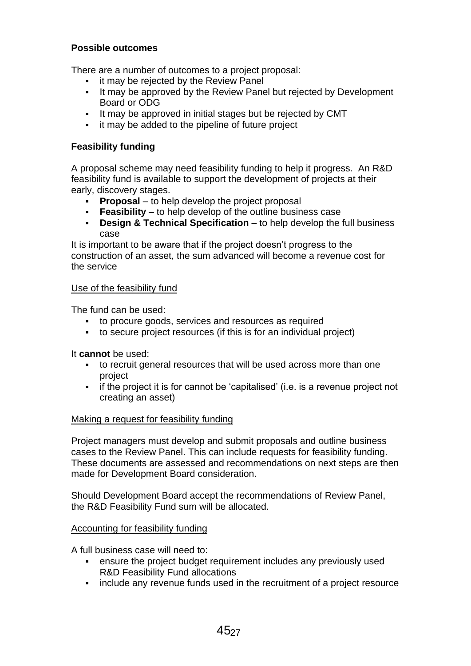## **Possible outcomes**

There are a number of outcomes to a project proposal:

- **i** it may be rejected by the Review Panel
- If may be approved by the Review Panel but rejected by Development Board or ODG
- It may be approved in initial stages but be rejected by CMT
- it may be added to the pipeline of future project

## **Feasibility funding**

A proposal scheme may need feasibility funding to help it progress. An R&D feasibility fund is available to support the development of projects at their early, discovery stages.

- **Proposal** to help develop the project proposal
- **Feasibility** to help develop of the outline business case
- **Design & Technical Specification** to help develop the full business case

It is important to be aware that if the project doesn't progress to the construction of an asset, the sum advanced will become a revenue cost for the service

#### Use of the feasibility fund

The fund can be used:

- to procure goods, services and resources as required
- to secure project resources (if this is for an individual project)

#### It **cannot** be used:

- to recruit general resources that will be used across more than one project
- if the project it is for cannot be 'capitalised' (i.e. is a revenue project not creating an asset)

#### Making a request for feasibility funding

Project managers must develop and submit proposals and outline business cases to the Review Panel. This can include requests for feasibility funding. These documents are assessed and recommendations on next steps are then made for Development Board consideration.

Should Development Board accept the recommendations of Review Panel, the R&D Feasibility Fund sum will be allocated.

#### Accounting for feasibility funding

A full business case will need to:

- ensure the project budget requirement includes any previously used R&D Feasibility Fund allocations
- **EXED** include any revenue funds used in the recruitment of a project resource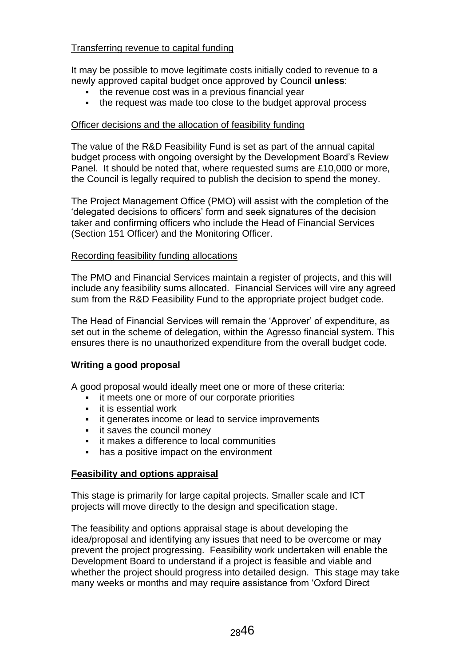#### Transferring revenue to capital funding

It may be possible to move legitimate costs initially coded to revenue to a newly approved capital budget once approved by Council **unless**:

- the revenue cost was in a previous financial year
- the request was made too close to the budget approval process

#### Officer decisions and the allocation of feasibility funding

The value of the R&D Feasibility Fund is set as part of the annual capital budget process with ongoing oversight by the Development Board's Review Panel. It should be noted that, where requested sums are £10,000 or more, the Council is legally required to publish the decision to spend the money.

The Project Management Office (PMO) will assist with the completion of the 'delegated decisions to officers' form and seek signatures of the decision taker and confirming officers who include the Head of Financial Services (Section 151 Officer) and the Monitoring Officer.

#### Recording feasibility funding allocations

The PMO and Financial Services maintain a register of projects, and this will include any feasibility sums allocated. Financial Services will vire any agreed sum from the R&D Feasibility Fund to the appropriate project budget code.

The Head of Financial Services will remain the 'Approver' of expenditure, as set out in the scheme of delegation, within the Agresso financial system. This ensures there is no unauthorized expenditure from the overall budget code.

#### **Writing a good proposal**

A good proposal would ideally meet one or more of these criteria:

- it meets one or more of our corporate priorities
- **i** it is essential work
- **i** it generates income or lead to service improvements
- **i** it saves the council money
- it makes a difference to local communities
- has a positive impact on the environment

#### **Feasibility and options appraisal**

This stage is primarily for large capital projects. Smaller scale and ICT projects will move directly to the design and specification stage.

The feasibility and options appraisal stage is about developing the idea/proposal and identifying any issues that need to be overcome or may prevent the project progressing. Feasibility work undertaken will enable the Development Board to understand if a project is feasible and viable and whether the project should progress into detailed design. This stage may take many weeks or months and may require assistance from 'Oxford Direct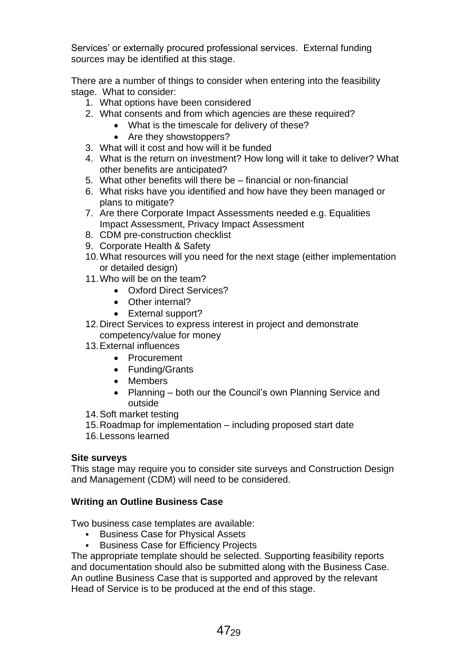Services' or externally procured professional services. External funding sources may be identified at this stage.

There are a number of things to consider when entering into the feasibility stage. What to consider:

- 1. What options have been considered
- 2. What consents and from which agencies are these required?
	- What is the timescale for delivery of these?
	- Are they showstoppers?
- 3. What will it cost and how will it be funded
- 4. What is the return on investment? How long will it take to deliver? What other benefits are anticipated?
- 5. What other benefits will there be financial or non-financial
- 6. What risks have you identified and how have they been managed or plans to mitigate?
- 7. Are there Corporate Impact Assessments needed e.g. Equalities Impact Assessment, Privacy Impact Assessment
- 8. CDM pre-construction checklist
- 9. Corporate Health & Safety
- 10.What resources will you need for the next stage (either implementation or detailed design)
- 11.Who will be on the team?
	- Oxford Direct Services?
	- Other internal?
	- External support?
- 12.Direct Services to express interest in project and demonstrate competency/value for money
- 13.External influences
	- Procurement
	- Funding/Grants
	- Members
	- Planning both our the Council's own Planning Service and outside
- 14.Soft market testing
- 15.Roadmap for implementation including proposed start date
- 16.Lessons learned

#### **Site surveys**

This stage may require you to consider site surveys and Construction Design and Management (CDM) will need to be considered.

## **Writing an Outline Business Case**

Two business case templates are available:

- **Business Case for Physical Assets**
- **Business Case for Efficiency Projects**

The appropriate template should be selected. Supporting feasibility reports and documentation should also be submitted along with the Business Case. An outline Business Case that is supported and approved by the relevant Head of Service is to be produced at the end of this stage.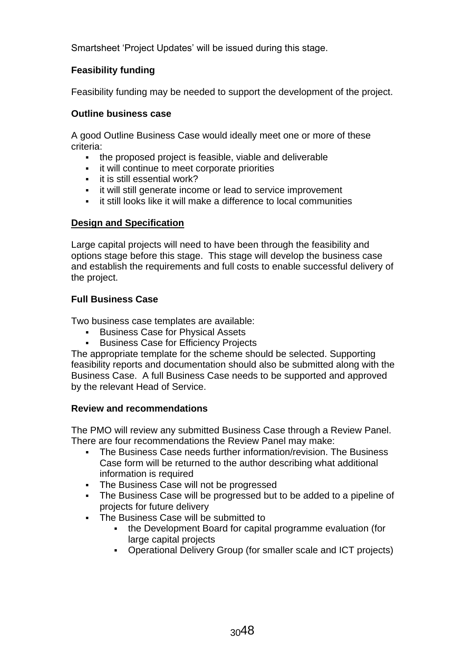Smartsheet 'Project Updates' will be issued during this stage.

## **Feasibility funding**

Feasibility funding may be needed to support the development of the project.

#### **Outline business case**

A good Outline Business Case would ideally meet one or more of these criteria:

- the proposed project is feasible, viable and deliverable
- it will continue to meet corporate priorities
- $\blacksquare$  it is still essential work?
- **i** it will still generate income or lead to service improvement
- **EXECT** it still looks like it will make a difference to local communities

## **Design and Specification**

Large capital projects will need to have been through the feasibility and options stage before this stage. This stage will develop the business case and establish the requirements and full costs to enable successful delivery of the project.

## **Full Business Case**

Two business case templates are available:

- Business Case for Physical Assets
- **Business Case for Efficiency Projects**

The appropriate template for the scheme should be selected. Supporting feasibility reports and documentation should also be submitted along with the Business Case. A full Business Case needs to be supported and approved by the relevant Head of Service.

#### **Review and recommendations**

The PMO will review any submitted Business Case through a Review Panel. There are four recommendations the Review Panel may make:

- The Business Case needs further information/revision. The Business Case form will be returned to the author describing what additional information is required
- The Business Case will not be progressed
- The Business Case will be progressed but to be added to a pipeline of projects for future delivery
- The Business Case will be submitted to
	- the Development Board for capital programme evaluation (for large capital projects
	- Operational Delivery Group (for smaller scale and ICT projects)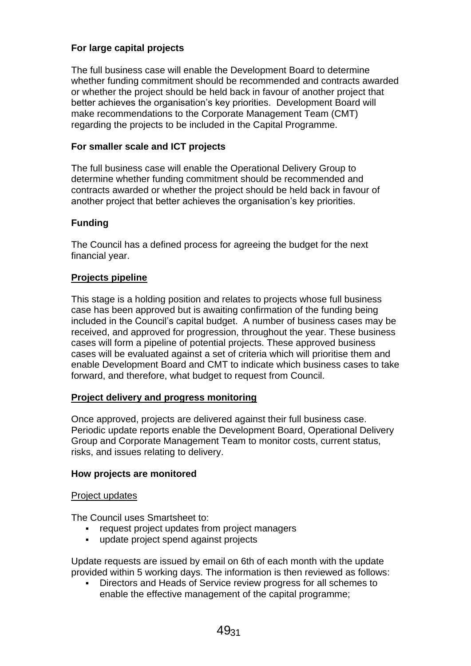## **For large capital projects**

The full business case will enable the Development Board to determine whether funding commitment should be recommended and contracts awarded or whether the project should be held back in favour of another project that better achieves the organisation's key priorities. Development Board will make recommendations to the Corporate Management Team (CMT) regarding the projects to be included in the Capital Programme.

## **For smaller scale and ICT projects**

The full business case will enable the Operational Delivery Group to determine whether funding commitment should be recommended and contracts awarded or whether the project should be held back in favour of another project that better achieves the organisation's key priorities.

## **Funding**

The Council has a defined process for agreeing the budget for the next financial year.

#### **Projects pipeline**

This stage is a holding position and relates to projects whose full business case has been approved but is awaiting confirmation of the funding being included in the Council's capital budget. A number of business cases may be received, and approved for progression, throughout the year. These business cases will form a pipeline of potential projects. These approved business cases will be evaluated against a set of criteria which will prioritise them and enable Development Board and CMT to indicate which business cases to take forward, and therefore, what budget to request from Council.

#### **Project delivery and progress monitoring**

Once approved, projects are delivered against their full business case. Periodic update reports enable the Development Board, Operational Delivery Group and Corporate Management Team to monitor costs, current status, risks, and issues relating to delivery.

#### **How projects are monitored**

#### Project updates

The Council uses Smartsheet to:

- request project updates from project managers
- update project spend against projects

Update requests are issued by email on 6th of each month with the update provided within 5 working days. The information is then reviewed as follows:

 Directors and Heads of Service review progress for all schemes to enable the effective management of the capital programme;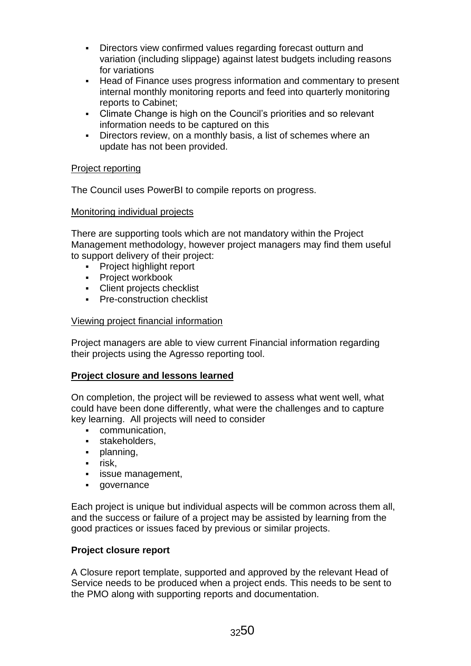- Directors view confirmed values regarding forecast outturn and variation (including slippage) against latest budgets including reasons for variations
- Head of Finance uses progress information and commentary to present internal monthly monitoring reports and feed into quarterly monitoring reports to Cabinet;
- Climate Change is high on the Council's priorities and so relevant information needs to be captured on this
- Directors review, on a monthly basis, a list of schemes where an update has not been provided.

## Project reporting

The Council uses PowerBI to compile reports on progress.

## Monitoring individual projects

There are supporting tools which are not mandatory within the Project Management methodology, however project managers may find them useful to support delivery of their project:

- **Project highlight report**
- **-** Project workbook
- Client projects checklist
- **Pre-construction checklist**

## Viewing project financial information

Project managers are able to view current Financial information regarding their projects using the Agresso reporting tool.

#### **Project closure and lessons learned**

On completion, the project will be reviewed to assess what went well, what could have been done differently, what were the challenges and to capture key learning. All projects will need to consider

- communication,
- **stakeholders.**
- planning,
- $\blacksquare$  risk,
- **issue management,**
- governance

Each project is unique but individual aspects will be common across them all, and the success or failure of a project may be assisted by learning from the good practices or issues faced by previous or similar projects.

#### **Project closure report**

A Closure report template, supported and approved by the relevant Head of Service needs to be produced when a project ends. This needs to be sent to the PMO along with supporting reports and documentation.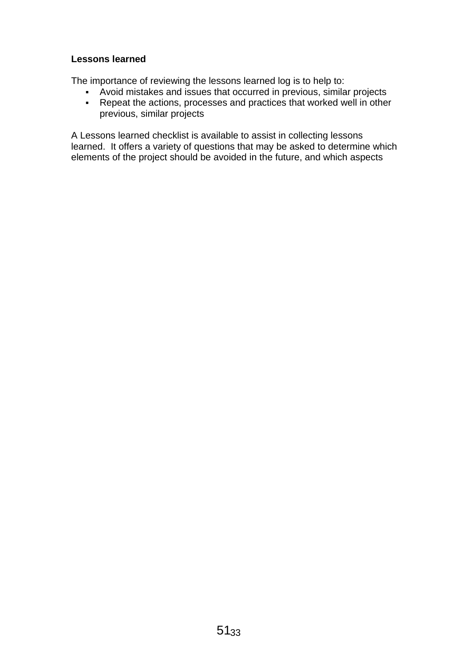## **Lessons learned**

The importance of reviewing the lessons learned log is to help to:

- Avoid mistakes and issues that occurred in previous, similar projects<br>Repeat the actions. processes and practices that worked well in other
- Repeat the actions, processes and practices that worked well in other previous, similar projects

A Lessons learned checklist is available to assist in collecting lessons learned. It offers a variety of questions that may be asked to determine which elements of the project should be avoided in the future, and which aspects